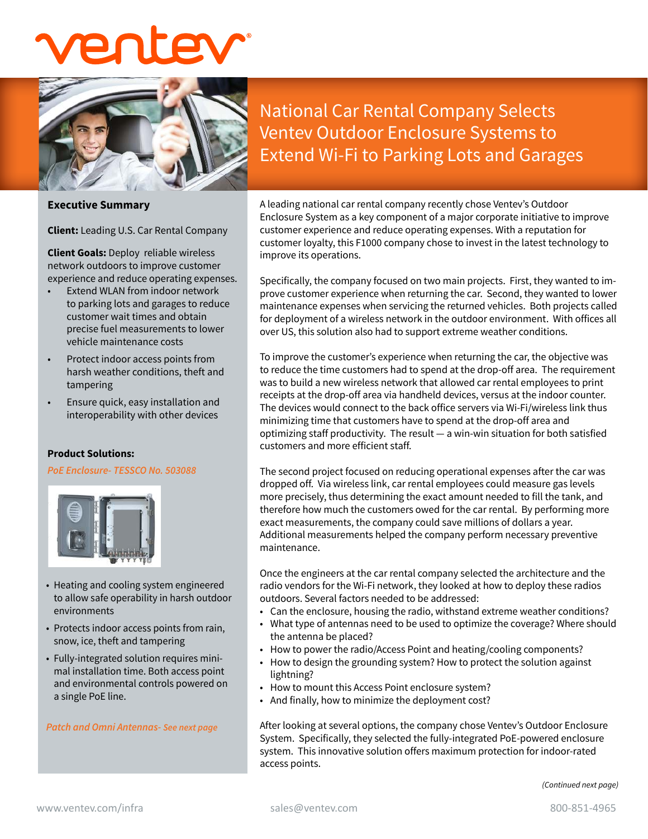

National Car Rental Company Selects Ventev Outdoor Enclosure Systems to Extend Wi-Fi to Parking Lots and Garages

**Executive Summary**

**Client:** Leading U.S. Car Rental Company

**Client Goals:** Deploy reliable wireless network outdoors to improve customer experience and reduce operating expenses.

- Extend WLAN from indoor network to parking lots and garages to reduce customer wait times and obtain precise fuel measurements to lower vehicle maintenance costs
- Protect indoor access points from harsh weather conditions, theft and tampering
- Ensure quick, easy installation and interoperability with other devices

## **Product Solutions:**

**PoE Enclosure- TESSCO No. 503088**



- Heating and cooling system engineered to allow safe operability in harsh outdoor environments
- Protects indoor access points from rain, snow, ice, theft and tampering
- Fully-integrated solution requires minimal installation time. Both access point and environmental controls powered on a single PoE line.

**Patch and Omni Antennas- See next page**

A leading national car rental company recently chose Ventev's Outdoor Enclosure System as a key component of a major corporate initiative to improve customer experience and reduce operating expenses. With a reputation for customer loyalty, this F1000 company chose to invest in the latest technology to improve its operations.

Specifically, the company focused on two main projects. First, they wanted to improve customer experience when returning the car. Second, they wanted to lower maintenance expenses when servicing the returned vehicles. Both projects called for deployment of a wireless network in the outdoor environment. With offices all over US, this solution also had to support extreme weather conditions.

To improve the customer's experience when returning the car, the objective was to reduce the time customers had to spend at the drop-off area. The requirement was to build a new wireless network that allowed car rental employees to print receipts at the drop-off area via handheld devices, versus at the indoor counter. The devices would connect to the back office servers via Wi-Fi/wireless link thus minimizing time that customers have to spend at the drop-off area and optimizing staff productivity. The result — a win-win situation for both satisfied customers and more efficient staff.

The second project focused on reducing operational expenses after the car was dropped off. Via wireless link, car rental employees could measure gas levels more precisely, thus determining the exact amount needed to fill the tank, and therefore how much the customers owed for the car rental. By performing more exact measurements, the company could save millions of dollars a year. Additional measurements helped the company perform necessary preventive maintenance.

Once the engineers at the car rental company selected the architecture and the radio vendors for the Wi-Fi network, they looked at how to deploy these radios outdoors. Several factors needed to be addressed:

- Can the enclosure, housing the radio, withstand extreme weather conditions?
- What type of antennas need to be used to optimize the coverage? Where should the antenna be placed?
- How to power the radio/Access Point and heating/cooling components?
- How to design the grounding system? How to protect the solution against lightning?
- How to mount this Access Point enclosure system?
- And finally, how to minimize the deployment cost?

After looking at several options, the company chose Ventev's Outdoor Enclosure System. Specifically, they selected the fully-integrated PoE-powered enclosure system. This innovative solution offers maximum protection for indoor-rated access points.